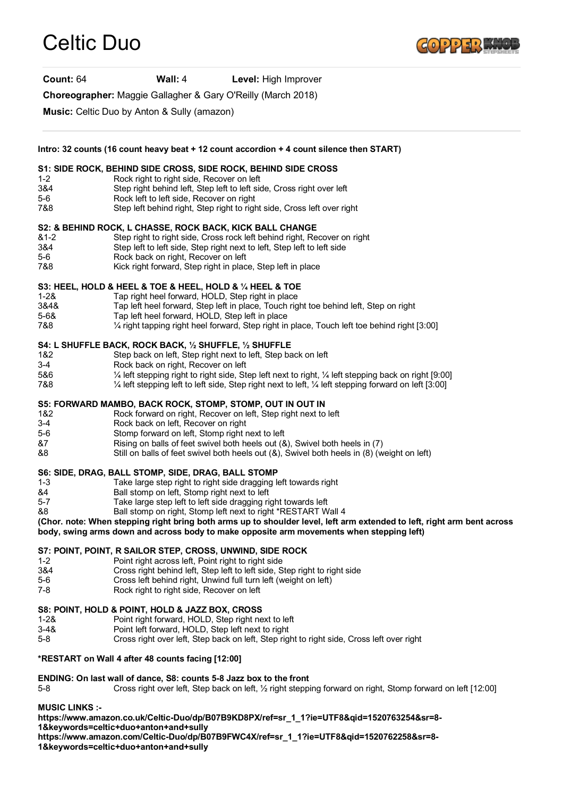# Celtic Duo



**Count:** 64 **Wall:** 4 **Level:** High Improver

**Choreographer:** Maggie Gallagher & Gary O'Reilly (March 2018)

**Music:** Celtic Duo by Anton & Sully (amazon)

**Intro: 32 counts (16 count heavy beat + 12 count accordion + 4 count silence then START)**

### **S1: SIDE ROCK, BEHIND SIDE CROSS, SIDE ROCK, BEHIND SIDE CROSS**

- 1-2 Rock right to right side, Recover on left
- 3&4 Step right behind left, Step left to left side, Cross right over left
- 5-6 Rock left to left side, Recover on right
- 7&8 Step left behind right, Step right to right side, Cross left over right

#### **S2: & BEHIND ROCK, L CHASSE, ROCK BACK, KICK BALL CHANGE**

- &1-2 Step right to right side, Cross rock left behind right, Recover on right
- 3&4 Step left to left side, Step right next to left, Step left to left side
- 5-6 Rock back on right, Recover on left
- 7&8 Kick right forward, Step right in place, Step left in place

#### **S3: HEEL, HOLD & HEEL & TOE & HEEL, HOLD & ¼ HEEL & TOE**

- 1-2& Tap right heel forward, HOLD, Step right in place
- 3&4& Tap left heel forward, Step left in place, Touch right toe behind left, Step on right
- 5-6& Tap left heel forward, HOLD, Step left in place
- 7&8 ¼ right tapping right heel forward, Step right in place, Touch left toe behind right [3:00]

#### **S4: L SHUFFLE BACK, ROCK BACK, ½ SHUFFLE, ½ SHUFFLE**

- 1&2 Step back on left, Step right next to left, Step back on left
- 3-4 Rock back on right, Recover on left
- 5&6 ¼ left stepping right to right side, Step left next to right, ¼ left stepping back on right [9:00]
- 7&8 ¼ left stepping left to left side, Step right next to left, ¼ left stepping forward on left [3:00]

#### **S5: FORWARD MAMBO, BACK ROCK, STOMP, STOMP, OUT IN OUT IN**

- 1&2 Rock forward on right, Recover on left, Step right next to left
- 3-4 Rock back on left, Recover on right
- 5-6 Stomp forward on left, Stomp right next to left
- &7 Rising on balls of feet swivel both heels out (&), Swivel both heels in (7)
- &8 Still on balls of feet swivel both heels out (&), Swivel both heels in (8) (weight on left)

#### **S6: SIDE, DRAG, BALL STOMP, SIDE, DRAG, BALL STOMP**

- 1-3 Take large step right to right side dragging left towards right 84 Eall stomp on left. Stomp right next to left
- Ball stomp on left, Stomp right next to left
- 5-7 Take large step left to left side dragging right towards left
- &8 Ball stomp on right, Stomp left next to right \*RESTART Wall 4

#### **(Chor. note: When stepping right bring both arms up to shoulder level, left arm extended to left, right arm bent across body, swing arms down and across body to make opposite arm movements when stepping left)**

#### **S7: POINT, POINT, R SAILOR STEP, CROSS, UNWIND, SIDE ROCK**

- 1-2 Point right across left, Point right to right side
- 3&4 Cross right behind left, Step left to left side, Step right to right side
- 5-6 Cross left behind right, Unwind full turn left (weight on left)
- 7-8 Rock right to right side, Recover on left

# **S8: POINT, HOLD & POINT, HOLD & JAZZ BOX, CROSS**

- 1-2& Point right forward, HOLD, Step right next to left
- 3-4& Point left forward, HOLD, Step left next to right
- 5-8 Cross right over left, Step back on left, Step right to right side, Cross left over right

# **\*RESTART on Wall 4 after 48 counts facing [12:00]**

# **ENDING: On last wall of dance, S8: counts 5-8 Jazz box to the front**

5-8 Cross right over left, Step back on left, ½ right stepping forward on right, Stomp forward on left [12:00]

**MUSIC LINKS :-**

**https://www.amazon.co.uk/Celtic-Duo/dp/B07B9KD8PX/ref=sr\_1\_1?ie=UTF8&qid=1520763254&sr=8-**

**1&keywords=celtic+duo+anton+and+sully**

**https://www.amazon.com/Celtic-Duo/dp/B07B9FWC4X/ref=sr\_1\_1?ie=UTF8&qid=1520762258&sr=8-**

**1&keywords=celtic+duo+anton+and+sully**